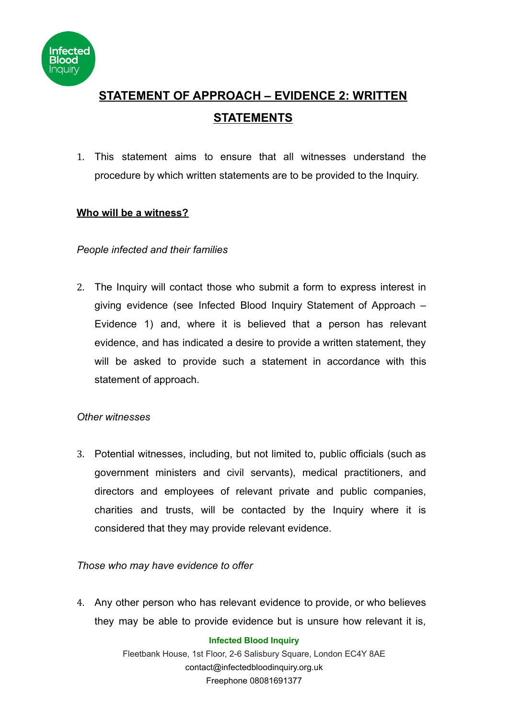

# **STATEMENT OF APPROACH – EVIDENCE 2: WRITTEN STATEMENTS**

1. This statement aims to ensure that all witnesses understand the procedure by which written statements are to be provided to the Inquiry.

# **Who will be a witness?**

# *People infected and their families*

2. The Inquiry will contact those who submit a form to express interest in giving evidence (see Infected Blood Inquiry Statement of Approach – Evidence 1) and, where it is believed that a person has relevant evidence, and has indicated a desire to provide a written statement, they will be asked to provide such a statement in accordance with this statement of approach.

## *Other witnesses*

3. Potential witnesses, including, but not limited to, public officials (such as government ministers and civil servants), medical practitioners, and directors and employees of relevant private and public companies, charities and trusts, will be contacted by the Inquiry where it is considered that they may provide relevant evidence.

## *Those who may have evidence to offer*

4. Any other person who has relevant evidence to provide, or who believes they may be able to provide evidence but is unsure how relevant it is,

#### **Infected Blood Inquiry**

Fleetbank House, 1st Floor, 2-6 Salisbury Square, London EC4Y 8AE contact@infectedbloodinquiry.org.uk Freephone 08081691377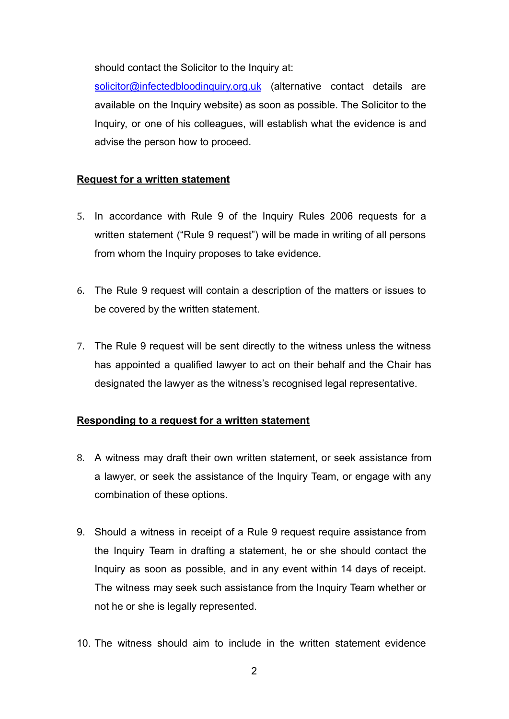should contact the Solicitor to the Inquiry at:

[solicitor@infectedbloodinquiry.org.uk](mailto:solicitor@infectedbloodinquiry.org.uk) (alternative contact details are available on the Inquiry website) as soon as possible. The Solicitor to the Inquiry, or one of his colleagues, will establish what the evidence is and advise the person how to proceed.

# **Request for a written statement**

- 5. In accordance with Rule 9 of the Inquiry Rules 2006 requests for a written statement ("Rule 9 request") will be made in writing of all persons from whom the Inquiry proposes to take evidence.
- 6. The Rule 9 request will contain a description of the matters or issues to be covered by the written statement.
- 7. The Rule 9 request will be sent directly to the witness unless the witness has appointed a qualified lawyer to act on their behalf and the Chair has designated the lawyer as the witness's recognised legal representative.

## **Responding to a request for a written statement**

- 8. A witness may draft their own written statement, or seek assistance from a lawyer, or seek the assistance of the Inquiry Team, or engage with any combination of these options.
- 9. Should a witness in receipt of a Rule 9 request require assistance from the Inquiry Team in drafting a statement, he or she should contact the Inquiry as soon as possible, and in any event within 14 days of receipt. The witness may seek such assistance from the Inquiry Team whether or not he or she is legally represented.
- 10. The witness should aim to include in the written statement evidence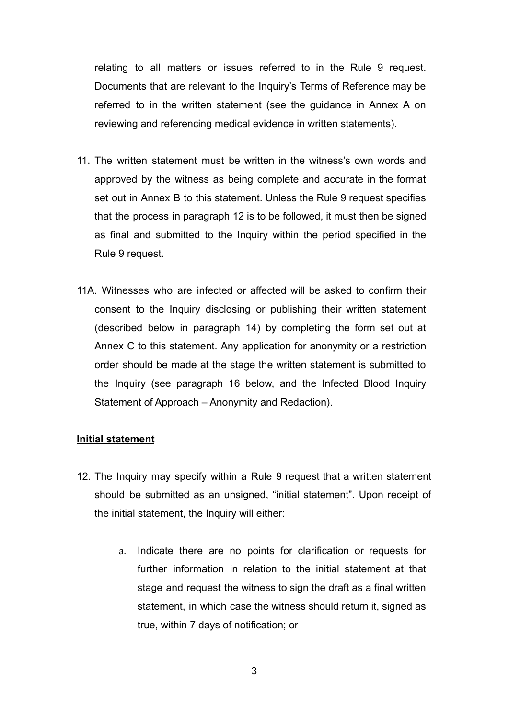relating to all matters or issues referred to in the Rule 9 request. Documents that are relevant to the Inquiry's Terms of Reference may be referred to in the written statement (see the guidance in Annex A on reviewing and referencing medical evidence in written statements).

- 11. The written statement must be written in the witness's own words and approved by the witness as being complete and accurate in the format set out in Annex B to this statement. Unless the Rule 9 request specifies that the process in paragraph 12 is to be followed, it must then be signed as final and submitted to the Inquiry within the period specified in the Rule 9 request.
- 11A. Witnesses who are infected or affected will be asked to confirm their consent to the Inquiry disclosing or publishing their written statement (described below in paragraph 14) by completing the form set out at Annex C to this statement. Any application for anonymity or a restriction order should be made at the stage the written statement is submitted to the Inquiry (see paragraph 16 below, and the Infected Blood Inquiry Statement of Approach – Anonymity and Redaction).

#### **Initial statement**

- 12. The Inquiry may specify within a Rule 9 request that a written statement should be submitted as an unsigned, "initial statement". Upon receipt of the initial statement, the Inquiry will either:
	- a. Indicate there are no points for clarification or requests for further information in relation to the initial statement at that stage and request the witness to sign the draft as a final written statement, in which case the witness should return it, signed as true, within 7 days of notification; or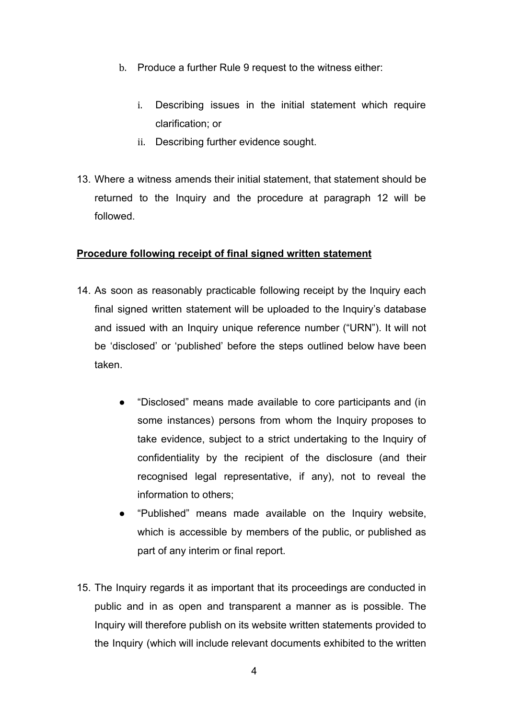- b. Produce a further Rule 9 request to the witness either:
	- i. Describing issues in the initial statement which require clarification; or
	- ii. Describing further evidence sought.
- 13. Where a witness amends their initial statement, that statement should be returned to the Inquiry and the procedure at paragraph 12 will be followed.

## **Procedure following receipt of final signed written statement**

- 14. As soon as reasonably practicable following receipt by the Inquiry each final signed written statement will be uploaded to the Inquiry's database and issued with an Inquiry unique reference number ("URN"). It will not be 'disclosed' or 'published' before the steps outlined below have been taken.
	- "Disclosed" means made available to core participants and (in some instances) persons from whom the Inquiry proposes to take evidence, subject to a strict undertaking to the Inquiry of confidentiality by the recipient of the disclosure (and their recognised legal representative, if any), not to reveal the information to others;
	- "Published" means made available on the Inquiry website, which is accessible by members of the public, or published as part of any interim or final report.
- 15. The Inquiry regards it as important that its proceedings are conducted in public and in as open and transparent a manner as is possible. The Inquiry will therefore publish on its website written statements provided to the Inquiry (which will include relevant documents exhibited to the written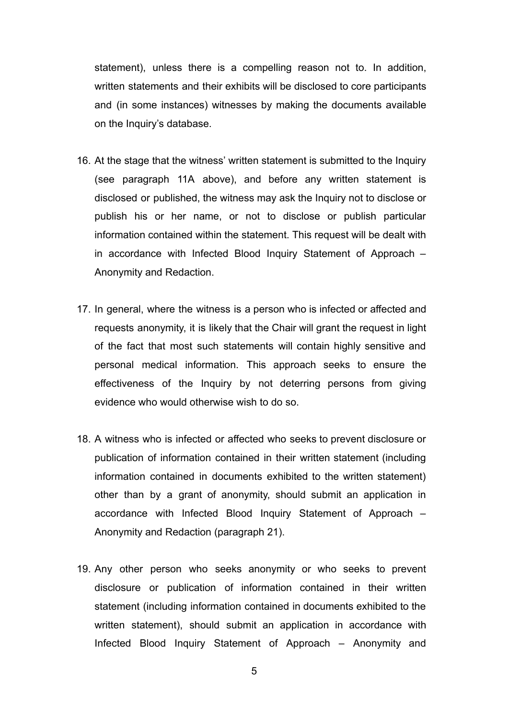statement), unless there is a compelling reason not to. In addition, written statements and their exhibits will be disclosed to core participants and (in some instances) witnesses by making the documents available on the Inquiry's database.

- 16. At the stage that the witness' written statement is submitted to the Inquiry (see paragraph 11A above), and before any written statement is disclosed or published, the witness may ask the Inquiry not to disclose or publish his or her name, or not to disclose or publish particular information contained within the statement. This request will be dealt with in accordance with Infected Blood Inquiry Statement of Approach – Anonymity and Redaction.
- 17. In general, where the witness is a person who is infected or affected and requests anonymity, it is likely that the Chair will grant the request in light of the fact that most such statements will contain highly sensitive and personal medical information. This approach seeks to ensure the effectiveness of the Inquiry by not deterring persons from giving evidence who would otherwise wish to do so.
- 18. A witness who is infected or affected who seeks to prevent disclosure or publication of information contained in their written statement (including information contained in documents exhibited to the written statement) other than by a grant of anonymity, should submit an application in accordance with Infected Blood Inquiry Statement of Approach – Anonymity and Redaction (paragraph 21).
- 19. Any other person who seeks anonymity or who seeks to prevent disclosure or publication of information contained in their written statement (including information contained in documents exhibited to the written statement), should submit an application in accordance with Infected Blood Inquiry Statement of Approach – Anonymity and

5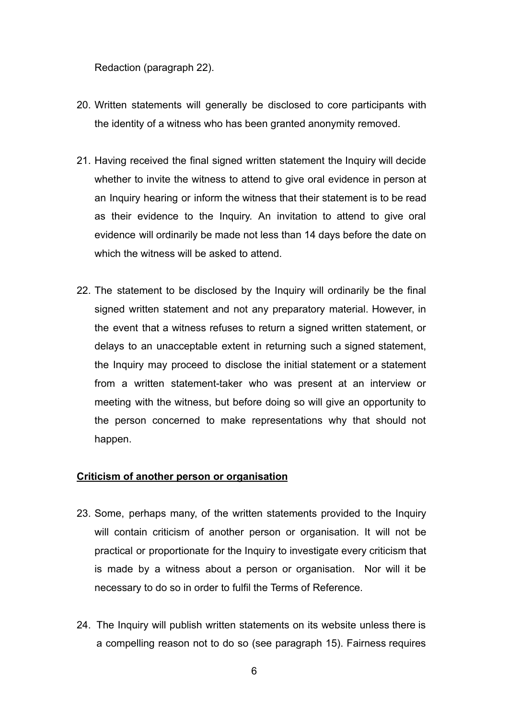Redaction (paragraph 22).

- 20. Written statements will generally be disclosed to core participants with the identity of a witness who has been granted anonymity removed.
- 21. Having received the final signed written statement the Inquiry will decide whether to invite the witness to attend to give oral evidence in person at an Inquiry hearing or inform the witness that their statement is to be read as their evidence to the Inquiry. An invitation to attend to give oral evidence will ordinarily be made not less than 14 days before the date on which the witness will be asked to attend.
- 22. The statement to be disclosed by the Inquiry will ordinarily be the final signed written statement and not any preparatory material. However, in the event that a witness refuses to return a signed written statement, or delays to an unacceptable extent in returning such a signed statement, the Inquiry may proceed to disclose the initial statement or a statement from a written statement-taker who was present at an interview or meeting with the witness, but before doing so will give an opportunity to the person concerned to make representations why that should not happen.

#### **Criticism of another person or organisation**

- 23. Some, perhaps many, of the written statements provided to the Inquiry will contain criticism of another person or organisation. It will not be practical or proportionate for the Inquiry to investigate every criticism that is made by a witness about a person or organisation. Nor will it be necessary to do so in order to fulfil the Terms of Reference.
- 24. The Inquiry will publish written statements on its website unless there is a compelling reason not to do so (see paragraph 15). Fairness requires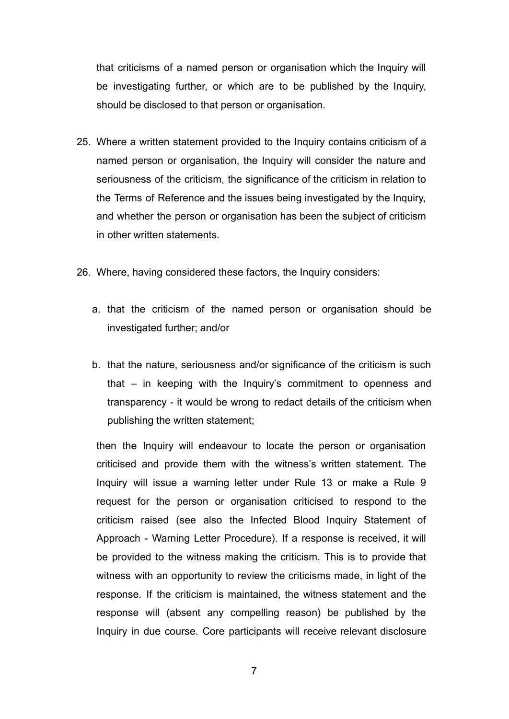that criticisms of a named person or organisation which the Inquiry will be investigating further, or which are to be published by the Inquiry, should be disclosed to that person or organisation.

- 25. Where a written statement provided to the Inquiry contains criticism of a named person or organisation, the Inquiry will consider the nature and seriousness of the criticism, the significance of the criticism in relation to the Terms of Reference and the issues being investigated by the Inquiry, and whether the person or organisation has been the subject of criticism in other written statements.
- 26. Where, having considered these factors, the Inquiry considers:
	- a. that the criticism of the named person or organisation should be investigated further; and/or
	- b. that the nature, seriousness and/or significance of the criticism is such that – in keeping with the Inquiry's commitment to openness and transparency - it would be wrong to redact details of the criticism when publishing the written statement;

then the Inquiry will endeavour to locate the person or organisation criticised and provide them with the witness's written statement. The Inquiry will issue a warning letter under Rule 13 or make a Rule 9 request for the person or organisation criticised to respond to the criticism raised (see also the Infected Blood Inquiry Statement of Approach - Warning Letter Procedure). If a response is received, it will be provided to the witness making the criticism. This is to provide that witness with an opportunity to review the criticisms made, in light of the response. If the criticism is maintained, the witness statement and the response will (absent any compelling reason) be published by the Inquiry in due course. Core participants will receive relevant disclosure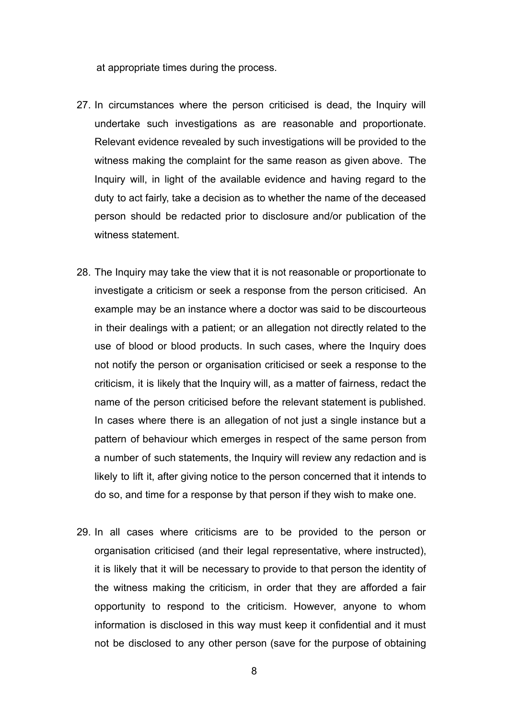at appropriate times during the process.

- 27. In circumstances where the person criticised is dead, the Inquiry will undertake such investigations as are reasonable and proportionate. Relevant evidence revealed by such investigations will be provided to the witness making the complaint for the same reason as given above. The Inquiry will, in light of the available evidence and having regard to the duty to act fairly, take a decision as to whether the name of the deceased person should be redacted prior to disclosure and/or publication of the witness statement.
- 28. The Inquiry may take the view that it is not reasonable or proportionate to investigate a criticism or seek a response from the person criticised. An example may be an instance where a doctor was said to be discourteous in their dealings with a patient; or an allegation not directly related to the use of blood or blood products. In such cases, where the Inquiry does not notify the person or organisation criticised or seek a response to the criticism, it is likely that the Inquiry will, as a matter of fairness, redact the name of the person criticised before the relevant statement is published. In cases where there is an allegation of not just a single instance but a pattern of behaviour which emerges in respect of the same person from a number of such statements, the Inquiry will review any redaction and is likely to lift it, after giving notice to the person concerned that it intends to do so, and time for a response by that person if they wish to make one.
- 29. In all cases where criticisms are to be provided to the person or organisation criticised (and their legal representative, where instructed), it is likely that it will be necessary to provide to that person the identity of the witness making the criticism, in order that they are afforded a fair opportunity to respond to the criticism. However, anyone to whom information is disclosed in this way must keep it confidential and it must not be disclosed to any other person (save for the purpose of obtaining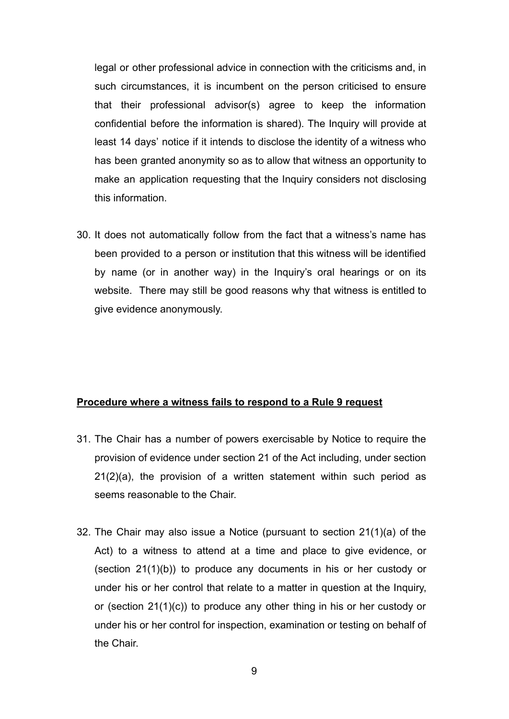legal or other professional advice in connection with the criticisms and, in such circumstances, it is incumbent on the person criticised to ensure that their professional advisor(s) agree to keep the information confidential before the information is shared). The Inquiry will provide at least 14 days' notice if it intends to disclose the identity of a witness who has been granted anonymity so as to allow that witness an opportunity to make an application requesting that the Inquiry considers not disclosing this information.

30. It does not automatically follow from the fact that a witness's name has been provided to a person or institution that this witness will be identified by name (or in another way) in the Inquiry's oral hearings or on its website. There may still be good reasons why that witness is entitled to give evidence anonymously.

#### **Procedure where a witness fails to respond to a Rule 9 request**

- 31. The Chair has a number of powers exercisable by Notice to require the provision of evidence under section 21 of the Act including, under section 21(2)(a), the provision of a written statement within such period as seems reasonable to the Chair.
- 32. The Chair may also issue a Notice (pursuant to section 21(1)(a) of the Act) to a witness to attend at a time and place to give evidence, or (section 21(1)(b)) to produce any documents in his or her custody or under his or her control that relate to a matter in question at the Inquiry, or (section 21(1)(c)) to produce any other thing in his or her custody or under his or her control for inspection, examination or testing on behalf of the Chair.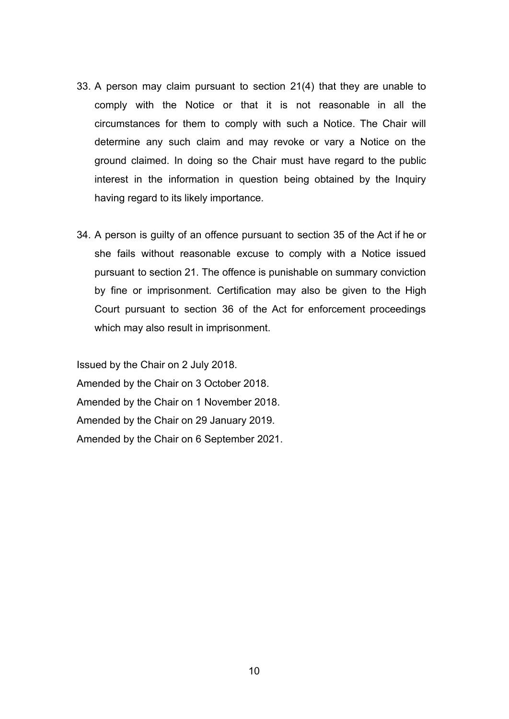- 33. A person may claim pursuant to section 21(4) that they are unable to comply with the Notice or that it is not reasonable in all the circumstances for them to comply with such a Notice. The Chair will determine any such claim and may revoke or vary a Notice on the ground claimed. In doing so the Chair must have regard to the public interest in the information in question being obtained by the Inquiry having regard to its likely importance.
- 34. A person is guilty of an offence pursuant to section 35 of the Act if he or she fails without reasonable excuse to comply with a Notice issued pursuant to section 21. The offence is punishable on summary conviction by fine or imprisonment. Certification may also be given to the High Court pursuant to section 36 of the Act for enforcement proceedings which may also result in imprisonment.

Issued by the Chair on 2 July 2018. Amended by the Chair on 3 October 2018. Amended by the Chair on 1 November 2018. Amended by the Chair on 29 January 2019. Amended by the Chair on 6 September 2021.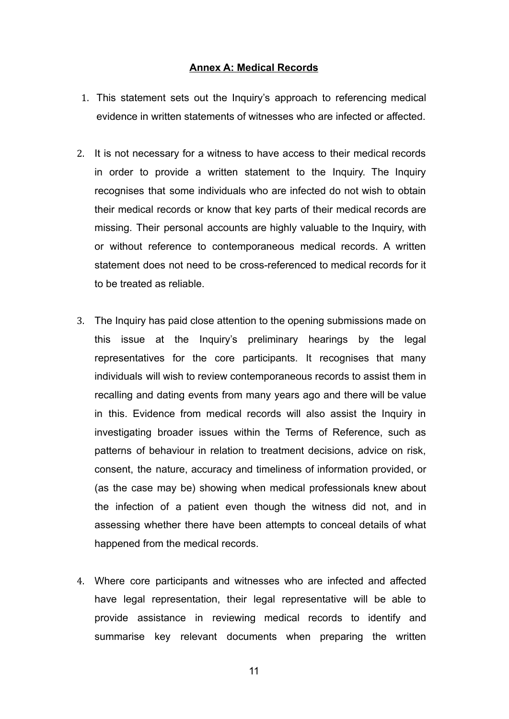#### **Annex A: Medical Records**

- 1. This statement sets out the Inquiry's approach to referencing medical evidence in written statements of witnesses who are infected or affected.
- 2. It is not necessary for a witness to have access to their medical records in order to provide a written statement to the Inquiry. The Inquiry recognises that some individuals who are infected do not wish to obtain their medical records or know that key parts of their medical records are missing. Their personal accounts are highly valuable to the Inquiry, with or without reference to contemporaneous medical records. A written statement does not need to be cross-referenced to medical records for it to be treated as reliable.
- 3. The Inquiry has paid close attention to the opening submissions made on this issue at the Inquiry's preliminary hearings by the legal representatives for the core participants. It recognises that many individuals will wish to review contemporaneous records to assist them in recalling and dating events from many years ago and there will be value in this. Evidence from medical records will also assist the Inquiry in investigating broader issues within the Terms of Reference, such as patterns of behaviour in relation to treatment decisions, advice on risk, consent, the nature, accuracy and timeliness of information provided, or (as the case may be) showing when medical professionals knew about the infection of a patient even though the witness did not, and in assessing whether there have been attempts to conceal details of what happened from the medical records.
- 4. Where core participants and witnesses who are infected and affected have legal representation, their legal representative will be able to provide assistance in reviewing medical records to identify and summarise key relevant documents when preparing the written

11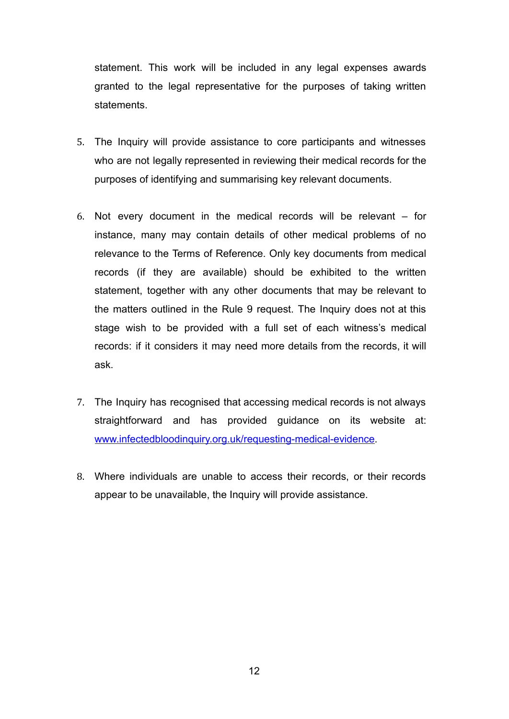statement. This work will be included in any legal expenses awards granted to the legal representative for the purposes of taking written statements.

- 5. The Inquiry will provide assistance to core participants and witnesses who are not legally represented in reviewing their medical records for the purposes of identifying and summarising key relevant documents.
- 6. Not every document in the medical records will be relevant for instance, many may contain details of other medical problems of no relevance to the Terms of Reference. Only key documents from medical records (if they are available) should be exhibited to the written statement, together with any other documents that may be relevant to the matters outlined in the Rule 9 request. The Inquiry does not at this stage wish to be provided with a full set of each witness's medical records: if it considers it may need more details from the records, it will ask.
- 7. The Inquiry has recognised that accessing medical records is not always straightforward and has provided guidance on its website at: [www.infectedbloodinquiry.org.uk/requesting-medical-evidence.](http://www.infectedbloodinquiry.org.uk/requesting-medical-evidence)
- 8. Where individuals are unable to access their records, or their records appear to be unavailable, the Inquiry will provide assistance.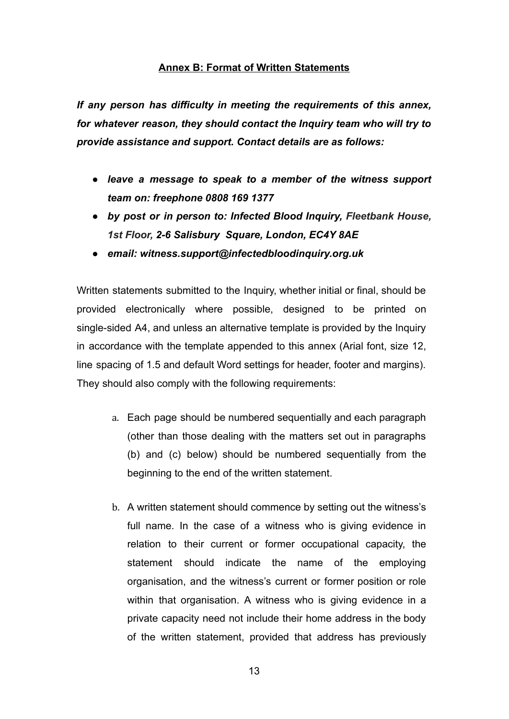## **Annex B: Format of Written Statements**

*If any person has difficulty in meeting the requirements of this annex, for whatever reason, they should contact the Inquiry team who will try to provide assistance and support. Contact details are as follows:*

- *● leave a message to speak to a member of the witness support team on: freephone 0808 169 1377*
- *● by post or in person to: Infected Blood Inquiry, Fleetbank House, 1st Floor, [2-6 Salisbury](https://maps.google.com/?q=2-6+Salisbury++Square,+London,+EC4Y+8AE&entry=gmail&source=g) [Square, London, EC4Y 8AE](https://maps.google.com/?q=2-6+Salisbury++Square,+London,+EC4Y+8AE&entry=gmail&source=g)*
- *● email: witness.support@infectedbloodinquiry.org.uk*

Written statements submitted to the Inquiry, whether initial or final, should be provided electronically where possible, designed to be printed on single-sided A4, and unless an alternative template is provided by the Inquiry in accordance with the template appended to this annex (Arial font, size 12, line spacing of 1.5 and default Word settings for header, footer and margins). They should also comply with the following requirements:

- a. Each page should be numbered sequentially and each paragraph (other than those dealing with the matters set out in paragraphs (b) and (c) below) should be numbered sequentially from the beginning to the end of the written statement.
- b. A written statement should commence by setting out the witness's full name. In the case of a witness who is giving evidence in relation to their current or former occupational capacity, the statement should indicate the name of the employing organisation, and the witness's current or former position or role within that organisation. A witness who is giving evidence in a private capacity need not include their home address in the body of the written statement, provided that address has previously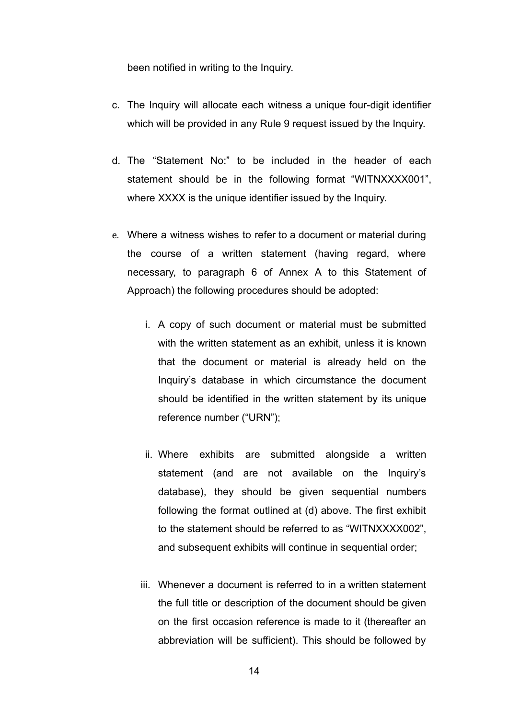been notified in writing to the Inquiry.

- c. The Inquiry will allocate each witness a unique four-digit identifier which will be provided in any Rule 9 request issued by the Inquiry.
- d. The "Statement No:" to be included in the header of each statement should be in the following format "WITNXXXX001", where XXXX is the unique identifier issued by the Inquiry.
- e. Where a witness wishes to refer to a document or material during the course of a written statement (having regard, where necessary, to paragraph 6 of Annex A to this Statement of Approach) the following procedures should be adopted:
	- i. A copy of such document or material must be submitted with the written statement as an exhibit, unless it is known that the document or material is already held on the Inquiry's database in which circumstance the document should be identified in the written statement by its unique reference number ("URN");
	- ii. Where exhibits are submitted alongside a written statement (and are not available on the Inquiry's database), they should be given sequential numbers following the format outlined at (d) above. The first exhibit to the statement should be referred to as "WITNXXXX002", and subsequent exhibits will continue in sequential order;
	- iii. Whenever a document is referred to in a written statement the full title or description of the document should be given on the first occasion reference is made to it (thereafter an abbreviation will be sufficient). This should be followed by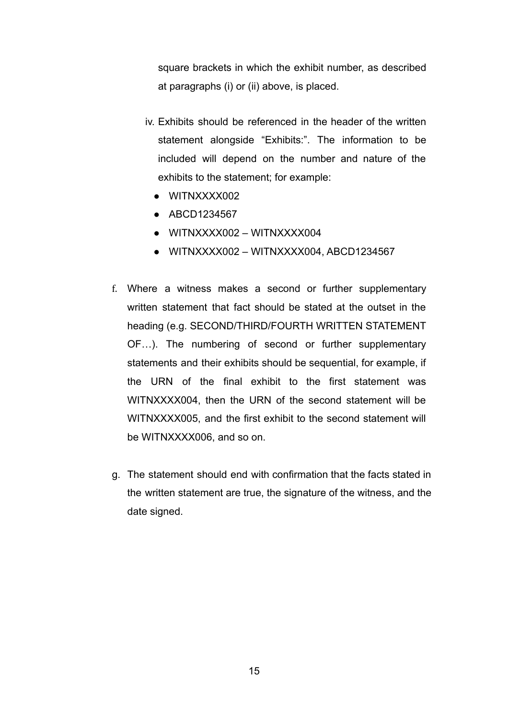square brackets in which the exhibit number, as described at paragraphs (i) or (ii) above, is placed.

- iv. Exhibits should be referenced in the header of the written statement alongside "Exhibits:". The information to be included will depend on the number and nature of the exhibits to the statement; for example:
	- WITNXXXX002
	- ABCD1234567
	- WITNXXXX002 WITNXXXX004
	- WITNXXXX002 WITNXXXX004, ABCD1234567
- f. Where a witness makes a second or further supplementary written statement that fact should be stated at the outset in the heading (e.g. SECOND/THIRD/FOURTH WRITTEN STATEMENT OF…). The numbering of second or further supplementary statements and their exhibits should be sequential, for example, if the URN of the final exhibit to the first statement was WITNXXXX004, then the URN of the second statement will be WITNXXXX005, and the first exhibit to the second statement will be WITNXXXX006, and so on.
- g. The statement should end with confirmation that the facts stated in the written statement are true, the signature of the witness, and the date signed.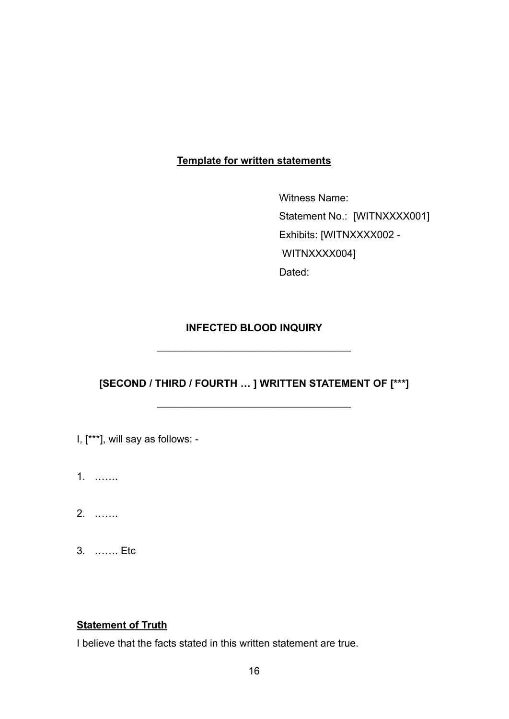# **Template for written statements**

Witness Name: Statement No.: [WITNXXXX001] Exhibits: [WITNXXXX002 - WITNXXXX004] Dated:

# **INFECTED BLOOD INQUIRY**

\_\_\_\_\_\_\_\_\_\_\_\_\_\_\_\_\_\_\_\_\_\_\_\_\_\_\_\_\_\_\_\_\_\_

**[SECOND / THIRD / FOURTH … ] WRITTEN STATEMENT OF [\*\*\*]**

\_\_\_\_\_\_\_\_\_\_\_\_\_\_\_\_\_\_\_\_\_\_\_\_\_\_\_\_\_\_\_\_\_\_

- I, [\*\*\*], will say as follows: -
- 1. …….
- 2. …….
- 3. ……. Etc

# **Statement of Truth**

I believe that the facts stated in this written statement are true.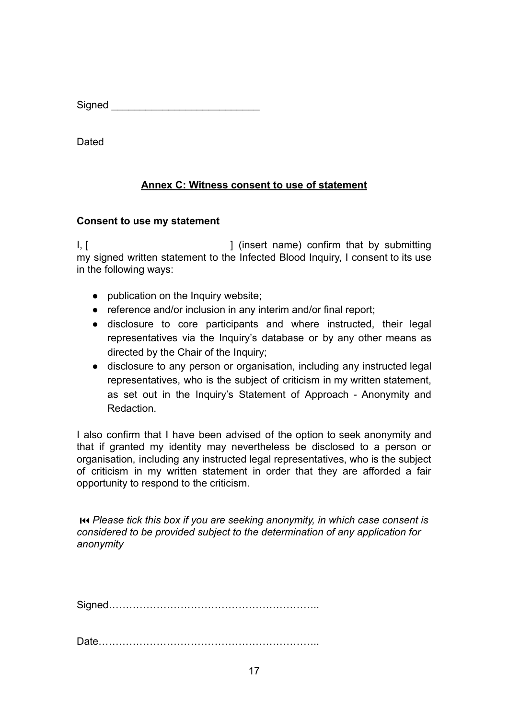$Signed$ 

**Dated** 

# **Annex C: Witness consent to use of statement**

# **Consent to use my statement**

I, [  $\blacksquare$  ] (insert name) confirm that by submitting my signed written statement to the Infected Blood Inquiry, I consent to its use in the following ways:

- publication on the Inquiry website:
- reference and/or inclusion in any interim and/or final report;
- disclosure to core participants and where instructed, their legal representatives via the Inquiry's database or by any other means as directed by the Chair of the Inquiry;
- disclosure to any person or organisation, including any instructed legal representatives, who is the subject of criticism in my written statement, as set out in the Inquiry's Statement of Approach - Anonymity and Redaction.

I also confirm that I have been advised of the option to seek anonymity and that if granted my identity may nevertheless be disclosed to a person or organisation, including any instructed legal representatives, who is the subject of criticism in my written statement in order that they are afforded a fair opportunity to respond to the criticism.

⏮ *Please tick this box if you are seeking anonymity, in which case consent is considered to be provided subject to the determination of any application for anonymity*

Signed……………………………………………………..

Date………………………………………………………..